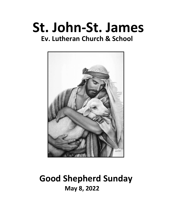# **St. John-St. James Ev. Lutheran Church & School**



## **Good Shepherd Sunday May 8, 2022**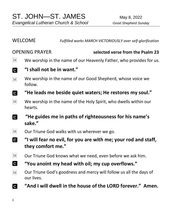WELCOME *Fulfilled works MARCH VICTORIOUSLY over self-glorification*

#### OPENING PRAYER **selected verse from the Psalm 23**

- $\lceil \text{M} \rceil$ We worship in the name of our Heavenly Father, who provides for us.
- **"I shall not be in want." C**
- We worship in the name of our Good Shepherd, whose voice we  $\boxed{\text{M}}$ follow.
- **C "He leads me beside quiet waters; He restores my soul."**
- $M<sup>2</sup>$ We worship in the name of the Holy Spirit, who dwells within our hearts.
- $\mathbf{c}$ **"He guides me in paths of righteousness for his name's sake."**
- $|M|$ Our Triune God walks with us wherever we go.
- **C "I will fear no evil, for you are with me; your rod and staff, they comfort me."**
- $\lceil \text{M} \rceil$ Our Triune God knows what we need, even before we ask him.
- **C "You anoint my head with oil; my cup overflows."**
- Our Triune God's goodness and mercy will follow us all the days of  $\lceil \text{M} \rceil$ our lives.
- **"And I will dwell in the house of the LORD forever." Amen.C**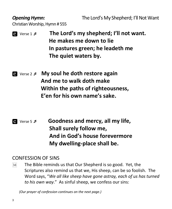**Opening Hymn:** The Lord's My Shepherd; I'll Not Want Christian Worship, Hymn # 555

- Verse 1  **The Lord's my shepherd; I'll not want. He makes me down to lie In pastures green; he leadeth me The quiet waters by.**
- Verse 2  **My soul he doth restore again And me to walk doth make Within the paths of righteousness, E'en for his own name's sake.**
- Verse 5  **Goodness and mercy, all my life, Shall surely follow me, And in God's house forevermore My dwelling-place shall be.**

#### CONFESSION OF SINS

The Bible reminds us that Our Shepherd is so good. Yet, the  $\lceil \text{M} \rceil$ Scriptures also remind us that we, His sheep, can be so foolish. The Word says, "*We all like sheep have gone astray, each of us has turned to his own way*." As sinful sheep, we confess our sins:

 *(Our prayer of confession continues on the next page.)*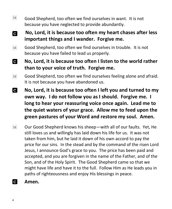- $\boxed{\text{M}}$ Good Shepherd, too often we find ourselves in want. It is not because you have neglected to provide abundantly.
- **No, Lord, it is because too often my heart chases after less C important things and I wander. Forgive me.**
- $\boxed{\text{M}}$ Good Shepherd, too often we find ourselves in trouble. It is not because you have failed to lead us properly.
- **C No, Lord, it is because too often I listen to the world rather than to your voice of truth. Forgive me.**
- Good Shepherd, too often we find ourselves feeling alone and afraid.  $\lceil \text{M} \rceil$ It is not because you have abandoned us.
- **C No, Lord, it is because too often I left you and turned to my own way. I do not follow you as I should. Forgive me. I long to hear your reassuring voice once again. Lead me to the quiet waters of your grace. Allow me to feed upon the green pastures of your Word and restore my soul. Amen.**
- Our Good Shepherd knows his sheep—with all of our faults. Yet, He  $\mathbf{M}$ still loves us and willingly has laid down his life for us. It was not taken from him, but he laid it down of his own accord to pay the price for our sins. In the stead and by the command of the risen Lord Jesus, I announce God's grace to you. The price has been paid and accepted, and you are forgiven in the name of the Father, and of the Son, and of the Holy Spirit. The Good Shepherd came so that we might have life and have it to the full. Follow Him as He leads you in paths of righteousness and enjoy His blessings in peace.
- $\mathbf{C}$ **Amen.**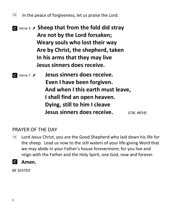$\lceil M \rceil$ In the peace of forgiveness, let us praise the Lord.

- Verse 3  **Sheep that from the fold did stray Are not by the Lord forsaken; Weary souls who lost their way Are by Christ, the shepherd, taken In his arms that they may live Jesus sinners does receive.**
- Verse <sup>7</sup> **Jesus sinners does receive. Even I have been forgiven. And when I this earth must leave, I shall find an open heaven. Dying, still to him I cleave Jesus sinners does receive.** *(CW, #654)*

#### PRAYER OF THE DAY

Lord Jesus Christ, you are the Good Shepherd who laid down his life for  $|M|$ the sheep. Lead us now to the still waters of your life-giving Word that we may abide in your Father's house forevermore; for you live and reign with the Father and the Holy Spirit, one God, now and forever.

### **Amen.**

*BE SEATED*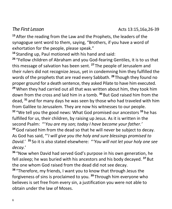**<sup>15</sup>** After the reading from the Law and the Prophets, the leaders of the synagogue sent word to them, saying, "Brothers, if you have a word of exhortation for the people, please speak."

**<sup>16</sup>** Standing up, Paul motioned with his hand and said:

**<sup>26</sup>** "Fellow children of Abraham and you God-fearing Gentiles, it is to us that this message of salvation has been sent. **<sup>27</sup>** The people of Jerusalem and their rulers did not recognize Jesus, yet in condemning him they fulfilled the words of the prophets that are read every Sabbath. **<sup>28</sup>** Though they found no proper ground for a death sentence, they asked Pilate to have him executed. **<sup>29</sup>**When they had carried out all that was written about him, they took him down from the cross and laid him in a tomb. **<sup>30</sup>** But God raised him from the dead, **<sup>31</sup>** and for many days he was seen by those who had traveled with him from Galilee to Jerusalem. They are now his witnesses to our people. **<sup>32</sup>** "We tell you the good news: What God promised our ancestors **<sup>33</sup>** he has fulfilled for us, their children, by raising up Jesus. As it is written in the second Psalm: "'*You are my son; today I have become your father.'* **<sup>34</sup>**God raised him from the dead so that he will never be subject to decay. As God has said, "'*I will give you the holy and sure blessings promised to David.*' **<sup>35</sup>** So it is also stated elsewhere: "*'You will not let your holy one see decay.*'

**<sup>36</sup>** "Now when David had served God's purpose in his own generation, he fell asleep; he was buried with his ancestors and his body decayed. **<sup>37</sup>** But the one whom God raised from the dead did not see decay.

**<sup>38</sup>** "Therefore, my friends, I want you to know that through Jesus the forgiveness of sins is proclaimed to you. **<sup>39</sup>** Through him everyone who believes is set free from every sin, a justification you were not able to obtain under the law of Moses.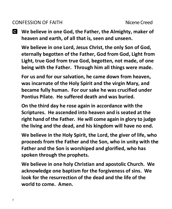#### CONFESSION OF FAITH Nicene Creed

**We believe in one God, the Father, the Almighty, maker of heaven and earth, of all that is, seen and unseen.**

**We believe in one Lord, Jesus Christ, the only Son of God, eternally begotten of the Father, God from God, Light from Light, true God from true God, begotten, not made, of one being with the Father. Through him all things were made.** 

**For us and for our salvation, he came down from heaven, was incarnate of the Holy Spirit and the virgin Mary, and became fully human. For our sake he was crucified under Pontius Pilate. He suffered death and was buried.** 

**On the third day he rose again in accordance with the Scriptures. He ascended into heaven and is seated at the right hand of the Father. He will come again in glory to judge the living and the dead, and his kingdom will have no end.**

**We believe in the Holy Spirit, the Lord, the giver of life, who proceeds from the Father and the Son, who in unity with the Father and the Son is worshiped and glorified, who has spoken through the prophets.** 

**We believe in one holy Christian and apostolic Church. We acknowledge one baptism for the forgiveness of sins. We look for the resurrection of the dead and the life of the world to come. Amen.**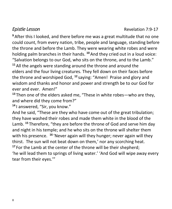**<sup>9</sup>** After this I looked, and there before me was a great multitude that no one could count, from every nation, tribe, people and language, standing before the throne and before the Lamb. They were wearing white robes and were holding palm branches in their hands. **<sup>10</sup>** And they cried out in a loud voice: "Salvation belongs to our God, who sits on the throne, and to the Lamb." **<sup>11</sup>** All the angels were standing around the throne and around the elders and the four living creatures. They fell down on their faces before the throne and worshiped God, **<sup>12</sup>** saying: "Amen! Praise and glory and wisdom and thanks and honor and power and strength be to our God for ever and ever. Amen!"

**<sup>13</sup>** Then one of the elders asked me, "These in white robes—who are they, and where did they come from?"

**<sup>14</sup>** I answered, "Sir, you know."

And he said, "These are they who have come out of the great tribulation; they have washed their robes and made them white in the blood of the Lamb. **<sup>15</sup>** Therefore, "they are before the throne of God and serve him day and night in his temple; and he who sits on the throne will shelter them with his presence. **<sup>16</sup>** 'Never again will they hunger; never again will they thirst. The sun will not beat down on them,' nor any scorching heat. **<sup>17</sup>** For the Lamb at the center of the throne will be their shepherd;

'he will lead them to springs of living water.' 'And God will wipe away every tear from their eyes.'"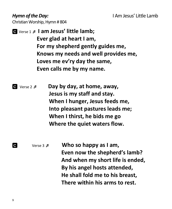Christian Worship, Hymn # 804

- Verse 1  **I am Jesus' little lamb; Ever glad at heart I am, For my shepherd gently guides me, Knows my needs and well provides me, Loves me ev'ry day the same, Even calls me by my name.**
- Verse 2  **Day by day, at home, away, Jesus is my staff and stay. When I hunger, Jesus feeds me, Into pleasant pastures leads me; When I thirst, he bids me go Where the quiet waters flow.**
	- Verse 3  **Who so happy as I am, Even now the shepherd's lamb? And when my short life is ended, By his angel hosts attended, He shall fold me to his breast, There within his arms to rest.**

**C**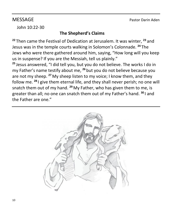John 10:22-30

### **The Shepherd's Claims**

**<sup>22</sup>** Then came the Festival of Dedication at Jerusalem. It was winter, **<sup>23</sup>** and Jesus was in the temple courts walking in Solomon's Colonnade. **<sup>24</sup>** The Jews who were there gathered around him, saying, "How long will you keep us in suspense? If you are the Messiah, tell us plainly."

**<sup>25</sup>** Jesus answered, "I did tell you, but you do not believe. The works I do in my Father's name testify about me, **<sup>26</sup>** but you do not believe because you are not my sheep. **<sup>27</sup>** My sheep listen to my voice; I know them, and they follow me. **<sup>28</sup>** I give them eternal life, and they shall never perish; no one will snatch them out of my hand. **<sup>29</sup>** My Father, who has given them to me, is greater than all; no one can snatch them out of my Father's hand. **<sup>30</sup>** I and the Father are one."

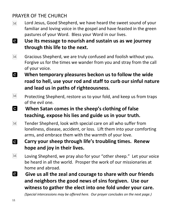### PRAYER OF THE CHURCH

- Lord Jesus, Good Shepherd, we have heard the sweet sound of your  $\lceil \text{M} \rceil$ familiar and loving voice in the gospel and have feasted in the green pastures of your Word. Bless your Word in our lives.
- **C Use its message to nourish and sustain us as we journey through this life to the next.**
- Gracious Shepherd, we are truly confused and foolish without you.  $\mathbf{M}$ Forgive us for the times we wander from you and stray from the call of your voice.
- **C When temporary pleasures beckon us to follow the wide road to hell, use your rod and staff to curb our sinful nature and lead us in paths of righteousness.**
- $\lceil \text{M} \rceil$ Protecting Shepherd, restore us to your fold, and keep us from traps of the evil one.
- **C When Satan comes in the sheep's clothing of false teaching, expose his lies and guide us in your truth.**
- Tender Shepherd, look with special care on all who suffer from  $\lceil \text{M} \rceil$ loneliness, disease, accident, or loss. Lift them into your comforting arms, and embrace them with the warmth of your love.
- **Carry your sheep through life's troubling times. Renew C hope and joy in their lives.**
- $\lceil \text{M} \rceil$ Loving Shepherd, we pray also for your "other sheep." Let your voice be heard in all the world. Prosper the work of our missionaries at home and abroad.
- **C Give us all the zeal and courage to share with our friends and neighbors the good news of sins forgiven. Use our witness to gather the elect into one fold under your care.**

*(Special intercessions may be offered here. Our prayer concludes on the next page.)*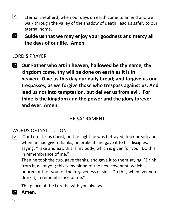- $\lceil \text{M} \rceil$ Eternal Shepherd, when our days on earth come to an end and we walk through the valley of the shadow of death, lead us safely to our eternal home.
- **C Guide us that we may enjoy your goodness and mercy all the days of our life. Amen.**

#### LORD'S PRAYER

**Our Father who art in heaven, hallowed be thy name, thy kingdom come, thy will be done on earth as it is in heaven. Give us this day our daily bread; and forgive us our trespasses, as we forgive those who trespass against us; And lead us not into temptation, but deliver us from evil. For thine is the kingdom and the power and the glory forever and ever. Amen.**

### THE SACRAMENT

#### WORDS OF INSTITUTION

Our Lord, Jesus Christ, on the night he was betrayed, took bread; and  $\lceil \mathbf{M} \rceil$ when he had given thanks, he broke it and gave it to his disciples, saying, "Take and eat; this is my body, which is given for you. Do this in remembrance of me."

Then he took the cup, gave thanks, and gave it to them saying, "Drink from it, all of you; this is my blood of the new covenant, which is poured out for you for the forgiveness of sins. Do this, whenever you drink it, in remembrance of me."

The peace of the Lord be with you always.

#### $\mathbf{c}$ **Amen.**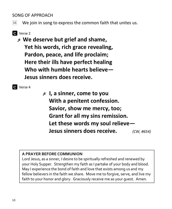#### SONG OF APPROACH

 $\lvert\mathrm{M}\rvert$ We join in song to express the common faith that unites us.

- **C** Verse 2
	- **We deserve but grief and shame, Yet his words, rich grace revealing, Pardon, peace, and life proclaim; Here their ills have perfect healing Who with humble hearts believe— Jesus sinners does receive.**



 **I, a sinner, come to you With a penitent confession. Savior, show me mercy, too; Grant for all my sins remission. Let these words my soul relieve— Jesus sinners does receive.** *(CW, #654)*

#### **A PRAYER BEFORE COMMUNION**

Lord Jesus, as a sinner, I desire to be spiritually refreshed and renewed by your Holy Supper. Strengthen my faith as I partake of your body and blood. May I experience the bond of faith and love that exists among us and my fellow believers in the faith we share. Move me to forgive, serve, and live my faith to your honor and glory. Graciously receive me as your guest. Amen.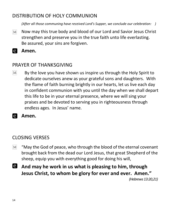### DISTRIBUTION OF HOLY COMMUNION

*(After all those communing have received Lord's Supper, we conclude our celebration: )*

- Now may this true body and blood of our Lord and Savior Jesus Christ  $\boxed{\text{M}}$ strengthen and preserve you in the true faith unto life everlasting. Be assured, your sins are forgiven.
- **Amen.**

### PRAYER OF THANKSGIVING

By the love you have shown us inspire us through the Holy Spirit to  $\mathbf{M}$ dedicate ourselves anew as your grateful sons and daughters. With the flame of faith burning brightly in our hearts, let us live each day in confident communion with you until the day when we shall depart this life to be in your eternal presence, where we will sing your praises and be devoted to serving you in righteousness through endless ages. In Jesus' name.

**Amen.** 

## CLOSING VERSES

- "May the God of peace, who through the blood of the eternal covenant  $\mathbf{M}$ brought back from the dead our Lord Jesus, that great Shepherd of the sheep, equip you with everything good for doing his will,
- $\overline{c}$ **And may he work in us what is pleasing to him, through Jesus Christ, to whom be glory for ever and ever. Amen."** *(Hebrews 13:20,21)*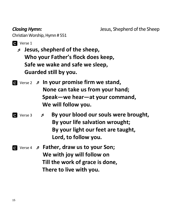Christian Worship, Hymn # 551

- **Q** Verse 1
	- **Jesus, shepherd of the sheep, Who your Father's flock does keep, Safe we wake and safe we sleep, Guarded still by you.**
- Verse 2  **In your promise firm we stand, None can take us from your hand; Speak—we hear—at your command, We will follow you.**
- *By your blood our souls were brought,*  **By your life salvation wrought; By your light our feet are taught, Lord, to follow you.**
- Verse 4  **Father, draw us to your Son; We with joy will follow on Till the work of grace is done, There to live with you.**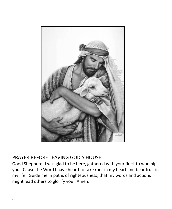

#### PRAYER BEFORE LEAVING GOD'S HOUSE

Good Shepherd, I was glad to be here, gathered with your flock to worship you. Cause the Word I have heard to take root in my heart and bear fruit in my life. Guide me in paths of righteousness, that my words and actions might lead others to glorify you. Amen.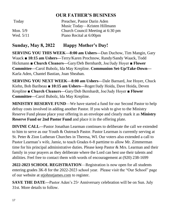#### **OUR FATHER'S BUSINESS**

| Today       | Preacher, Pastor Darin Aden       |
|-------------|-----------------------------------|
|             | Music Today—Kristen Hillmann      |
| Mon. $5/9$  | Church Council Meeting at 6:30 pm |
| Wed. $5/11$ | Piano Recital at 6:00pm           |

#### **Sunday, May 8, 2022 Happy Mother's Day!**

**SERVING YOU THIS WEEK—8:00 am Ushers—**Dan Duchow, Tim Mangin, Gary Waack ■ **10:15 am Ushers—**Terry/Karen Prochnow, Randy/Sandy Waack, Todd Hickmann **■ Church Cleaners—**Gary/Deb Bernhardt, Joe/Judy Hoyer ■ **Flower Committee—**Carol Bubolz, Ida May Krepline. **Communion Set-Up/Take-Down—** Karla Aden, Chantel Bastian, Joan Sheahan.

**SERVING YOU NEXT WEEK—8:00 am Ushers—**Dale Barnard, Joe Hoyer, Chuck Kiehn, Bob Baribeau ■ **10:15 am Ushers—**Roger/Judy Hoida, Dave Hoida, Deven Krepline **■ Church Cleaners—**Gary/Deb Bernhardt, Joe/Judy Hoyer ■ **Flower Committee—**Carol Bubolz, Ida May Krepline.

**MINISTRY RESERVE FUND**—We have started a fund for our Second Pastor to help defray costs involved in adding another Pastor. If you wish to give to the Ministry Reserve Fund please place your offering in an envelope and clearly mark it as **Ministry Reserve Fund or 2nd Pastor Fund** and place it in the offering plate.

**DIVINE CALL—**Pastor Jonathan Learman continues to deliberate the call we extended to him to serve as our Youth & Outreach Pastor. Pastor Learman is currently serving at St. Peter & Zion Lutheran Churches in Theresa, WI. Our voters also extended a call to Pastor Learman's wife, Jamie, to teach Grades 6-8 parttime to allow Mr. Zimmerman time for his principal administrative duties. Please keep Pastor & Mrs. Learman and their family in your prayers as they deliberate where the Lord can best use their talents and abilities. Feel free to contact them with words of encouragement at (920) 238-1699

**2022-2023 SCHOOL REGISTRATION**—Registration is now open for all students entering grades 3K-8 for the 2022-2023 school year. Please visit the "Our School" page of our website at [stjohnstjames.com](http://www.stjohnstjames.com/) to register.

**SAVE THE DATE—Pastor Aden's 25<sup>th</sup> Anniversary celebration will be on Sun. July** 31st. More details to follow.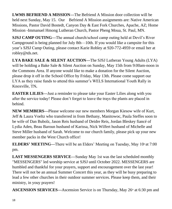**LWMS BEFRIEND A MISSION—**The Befriend A Mission door collection will be held next Sunday, May 15. Our Befriend A Mission assignments are: Native American Missions, Pastor David Bostedt, Canyon Day & East Fork Churches, Apache, AZ; Home Mission -Immanuel Hmong Lutheran Church, Pastor Pheng Moua, St. Paul, MN.

**SJSJ CAMP OUTING—**The annual church/school camp outing held at Devil's River Campground is being planned for July 8th—10th. If you would like a campsite for this year's SJSJ Camp Outing, please contact Karie Robley at 920-772-4959 or email her at robley@tds.net.

**LYA BAKE SALE & SILENT AUCTION—**The SJSJ Lutheran Young Adults (LYA) will be holding a Bake Sale & Silent Auction on Sunday, May 15th from 9:00am-noon in the Commons Area. If anyone would like to make a donation for the Silent Auction, please drop it off in the School Office by Friday, May 13th. Please come support our LYA as they raise funds to attend this summer's WELS International Youth Rally in Knoxville, TN**.**

**EASTER LILIES—**Just a reminder to please take your Easter Lilies along with you after the service today! Please don't forget to leave the trays the plants are placed in behind.

**NEW MEMBERS—**Please welcome our new members Morgan Kiesow wife of Kurt, Jeff & Laura Voeltz who transferred in from Bethany, Manitowoc, Paula Steffes soon to be wife of Dan Bubolz, Jason Reis husband of Deidre Reis, Jordan Bleskey fiancé of Lydia Aden, Beau Baroun husband of Karissa, Nick Wilfert husband of Michelle and Steve Miller husband of Sarah. Welcome to our church family, please pick up your new member packs in the West Church office!

**ELDERS' MEETING—There will be an Elders' Meeting on Tuesday, May 10<sup>th</sup> at 7:00** pm.

**LAST MESSENGERS SERVICE—**Sunday May 1st was the last scheduled monthly "MESSENGERS" led worship service at SJSJ until October 2022. MESSENGERS are humbled and thankful for your prayers, support and encouragement over the last year! There will not be an annual Summer Concert this year, as they will be busy preparing to lead a few other churches in their outdoor summer services. Please keep them, and their ministry, in youy prayers!

**ASCENSION SERVICES—Ascension Service is on Thursday, May 26<sup>th</sup> at 6:30 pm and**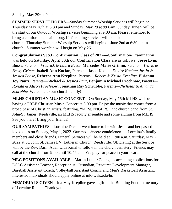Sunday, May  $29<sup>th</sup>$  at 9 am.

**SUMMER SERVICE HOURS—**Sunday Summer Worship Services will begin on Thursday May 26th at 6:30 pm and Sunday, May 29 at 9:00am. Sunday, June 5 will be the start of our Outdoor Worship services beginning at 9:00 am. Please remember to bring a comfortable chair along. If it's raining services will be held in church. Thursday Summer Worship Services will begin on June 2nd at 6:30 pm in church. Summer worship will begin on May 26.

**Congratulations SJSJ Confirmation Class of 2022—**Confirmation/Examination was held on Saturday, April 30th our Confirmation Class are as follows: **Josee Lynn Busse,** Parents—*Fredrick & Laura Busse,* **Mercedes Marie Grimm,** Parents—*Travis & Becky Grimm,* **Isabell Ann Kocian,** Parents—Jason Kocian, *Deidre Kocian; Justin & Jessica Loose,* **Rebecca Ann Krepline,** Parents—*Robert & Krista Krepline,* **Elsianna Joy Pautz,** Parents—*Michael & Jessica Paut,* **Benjamin Michael Prochnow,** Parents— *Ronald & Alison Prochnow,* **Jonathan Ray Schrubbe,** Parents—*Nicholas & Amanda Schrubbe.* Welcome to our church family!

**MLHS CHRISTIAN MUSIC CONCERT—**On Sunday, May 15th MLHS will be having a FREE Christian Music Concert at 3:00 pm. Enjoy the music that comes from a broad base of Christian artists, featuring, "MESSENGERS," the church band from St. John/St. James, Reedsville, an MLHS faculty ensemble and some alumni from MLHS. See you there! Bring your friends!

**OUR SYMPATHIES—**Lorraine Dickert went home to be with Jesus and her passed loved ones on Sunday, May 1, 2022. Our most sincere condolences to Lorraine's family members and close friends. Funeral Services will be held at 11:00 a.m. Saturday, May 7, 2022 at St. John St. James EV. Lutheran Church, Reedsville. Officiating at the Service will be the Rev. Darin Aden with burial to follow in the church cemetery. Friends may call at the church from 9:00 until 10:45 a.m. We pray for peace in your hearts!

**MLC POSITIONS AVAILABLE—**Martin Luther College is accepting applications for ECLC Assistant Teacher, Receptionist, Custodian, Resource Development Manager, Baseball Assistant Coach, Volleyball Assistant Coach, and Men's Basketball Assistant. Interested individuals should apply online at mlc-wels.edu/hr/.

**MEMORIALS GIVEN—**Ida May Krepline gave a gift to the Building Fund In memory of Lorraine Reindl. Thank you!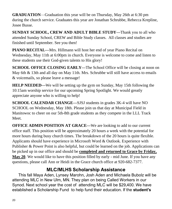**GRADUATION**—Graduation this year will be on Thursday, May 26th at 6:30 pm during the church service. Graduates this year are Jonathan Schrubbe, Rebecca Krepline, Josee Busse.

**SUNDAY SCHOOL, CREW AND ADULT BIBLE STUDY—**Thank you to all who attended Sunday School, CREW and Bible Study classes. All classes and studies are finished until September. See you then!

**PIANO RECITAL—**Mrs. Hillmann will host her end of year Piano Recital on Wednesday, May 11th at 6:00pm in church. Everyone is welcome to come and listen to these students use their God-given talents to His glory!

**SCHOOL OFFICE CLOSING EARLY—The School Office will be closing at noon on** May 6th & 13th and all day on May 11th. Mrs. Schrubbe will still have access to emails & voicemails, so please leave a message!

**HELP NEEDED—**We will be setting up the gym on Sunday, May 15th following the 10:15am worship service for our upcoming Spring Spotlight. We would greatly appreciate anyone who is willing to help!

**SCHOOL CALENDAR CHANGE—**SJSJ students in grades 3K-4 will have NO SCHOOL on Wednesday, May 18th. Please join us that day at Municipal Field in Manitowoc to cheer on our 5th-8th grade students as they compete in the LLL Track Meet.

**OFFICE ADMIN POSITION AT GRACE—**We are looking to add to our current office staff. This position will be approximately 20 hours a week with the potential for more hours during busy church times. The breakdown of the 20 hours is quite flexible. Applicants should have experience in Microsoft Word & Outlook. Experience with Publisher & Power Point is also helpful, but could be learned on the job. Applications can be picked up in our office and should be **completed and returned to Grace by Friday, May 20**. We would like to have this position filled by early - mid June. If you have any questions, please call Ann or Heidi in the Grace church office at 920-682-7377.

### **MLC/MLHS Scholarship Assistance**

 This fall Maya Aden, Lynsey Marohn, Josh Aden and Michaela Bubolz will be attending MLC in New Ulm, MN. They plan on being Called Workers in our Synod. Next school year the cost of attending MLC will be \$29,400. We have established a Scholarship Fund to help fund their education. If the **student's**